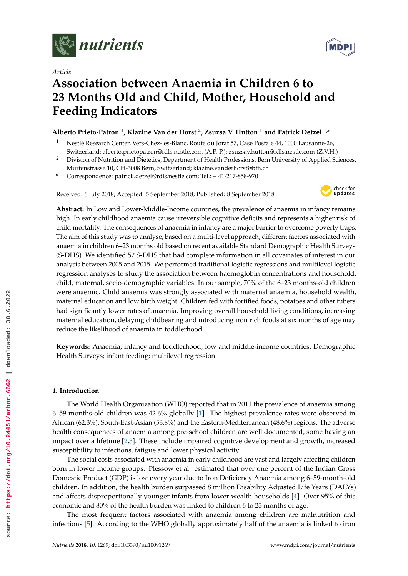

*Article*

# **Association between Anaemia in Children 6 to 23 Months Old and Child, Mother, Household and Feeding Indicators**

# **Alberto Prieto-Patron <sup>1</sup> , Klazine Van der Horst <sup>2</sup> , Zsuzsa V. Hutton <sup>1</sup> and Patrick Detzel 1,\***

- <sup>1</sup> Nestlé Research Center, Vers-Chez-les-Blanc, Route du Jorat 57, Case Postale 44, 1000 Lausanne-26, Switzerland; alberto.prietopatron@rdls.nestle.com (A.P.-P.); zsuzsav.hutton@rdls.nestle.com (Z.V.H.)
- <sup>2</sup> Division of Nutrition and Dietetics, Department of Health Professions, Bern University of Applied Sciences, Murtenstrasse 10, CH-3008 Bern, Switzerland; klazine.vanderhorst@bfh.ch
- **\*** Correspondence: patrick.detzel@rdls.nestle.com; Tel.: + 41-217-858-970

Received: 6 July 2018; Accepted: 5 September 2018; Published: 8 September 2018



**Abstract:** In Low and Lower-Middle-Income countries, the prevalence of anaemia in infancy remains high. In early childhood anaemia cause irreversible cognitive deficits and represents a higher risk of child mortality. The consequences of anaemia in infancy are a major barrier to overcome poverty traps. The aim of this study was to analyse, based on a multi-level approach, different factors associated with anaemia in children 6–23 months old based on recent available Standard Demographic Health Surveys (S-DHS). We identified 52 S-DHS that had complete information in all covariates of interest in our analysis between 2005 and 2015. We performed traditional logistic regressions and multilevel logistic regression analyses to study the association between haemoglobin concentrations and household, child, maternal, socio-demographic variables. In our sample, 70% of the 6–23 months-old children were anaemic. Child anaemia was strongly associated with maternal anaemia, household wealth, maternal education and low birth weight. Children fed with fortified foods, potatoes and other tubers had significantly lower rates of anaemia. Improving overall household living conditions, increasing maternal education, delaying childbearing and introducing iron rich foods at six months of age may reduce the likelihood of anaemia in toddlerhood.

**Keywords:** Anaemia; infancy and toddlerhood; low and middle-income countries; Demographic Health Surveys; infant feeding; multilevel regression

# **1. Introduction**

The World Health Organization (WHO) reported that in 2011 the prevalence of anaemia among 6–59 months-old children was 42.6% globally [1]. The highest prevalence rates were observed in African (62.3%), South-East-Asian (53.8%) and the Eastern-Mediterranean (48.6%) regions. The adverse health consequences of anaemia among pre-school children are well documented, some having an impact over a lifetime [2,3]. These include impaired cognitive development and growth, increased susceptibility to infections, fatigue and lower physical activity.

The social costs associated with anaemia in early childhood are vast and largely affecting children born in lower income groups. Plessow et al. estimated that over one percent of the Indian Gross Domestic Product (GDP) is lost every year due to Iron Deficiency Anaemia among 6–59-month-old children. In addition, the health burden surpassed 8 million Disability Adjusted Life Years (DALYs) and affects disproportionally younger infants from lower wealth households [4]. Over 95% of this economic and 80% of the health burden was linked to children 6 to 23 months of age.

The most frequent factors associated with anaemia among children are malnutrition and infections [5]. According to the WHO globally approximately half of the anaemia is linked to iron

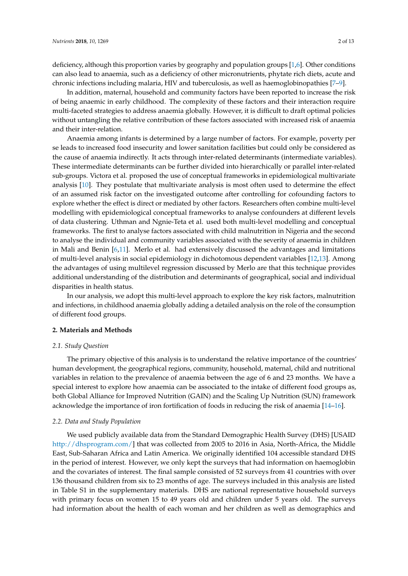deficiency, although this proportion varies by geography and population groups [1,6]. Other conditions can also lead to anaemia, such as a deficiency of other micronutrients, phytate rich diets, acute and chronic infections including malaria, HIV and tuberculosis, as well as haemoglobinopathies [7–9].

In addition, maternal, household and community factors have been reported to increase the risk of being anaemic in early childhood. The complexity of these factors and their interaction require multi-faceted strategies to address anaemia globally. However, it is difficult to draft optimal policies without untangling the relative contribution of these factors associated with increased risk of anaemia and their inter-relation.

Anaemia among infants is determined by a large number of factors. For example, poverty per se leads to increased food insecurity and lower sanitation facilities but could only be considered as the cause of anaemia indirectly. It acts through inter-related determinants (intermediate variables). These intermediate determinants can be further divided into hierarchically or parallel inter-related sub-groups. Victora et al. proposed the use of conceptual frameworks in epidemiological multivariate analysis [10]. They postulate that multivariate analysis is most often used to determine the effect of an assumed risk factor on the investigated outcome after controlling for cofounding factors to explore whether the effect is direct or mediated by other factors. Researchers often combine multi-level modelling with epidemiological conceptual frameworks to analyse confounders at different levels of data clustering. Uthman and Ngnie-Teta et al. used both multi-level modelling and conceptual frameworks. The first to analyse factors associated with child malnutrition in Nigeria and the second to analyse the individual and community variables associated with the severity of anaemia in children in Mali and Benin [6,11]. Merlo et al. had extensively discussed the advantages and limitations of multi-level analysis in social epidemiology in dichotomous dependent variables [12,13]. Among the advantages of using multilevel regression discussed by Merlo are that this technique provides additional understanding of the distribution and determinants of geographical, social and individual disparities in health status.

In our analysis, we adopt this multi-level approach to explore the key risk factors, malnutrition and infections, in childhood anaemia globally adding a detailed analysis on the role of the consumption of different food groups.

#### **2. Materials and Methods**

#### *2.1. Study Question*

The primary objective of this analysis is to understand the relative importance of the countries' human development, the geographical regions, community, household, maternal, child and nutritional variables in relation to the prevalence of anaemia between the age of 6 and 23 months. We have a special interest to explore how anaemia can be associated to the intake of different food groups as, both Global Alliance for Improved Nutrition (GAIN) and the Scaling Up Nutrition (SUN) framework acknowledge the importance of iron fortification of foods in reducing the risk of anaemia [14–16].

#### *2.2. Data and Study Population*

We used publicly available data from the Standard Demographic Health Survey (DHS) [USAID [http://dhsprogram.com/\]](http://dhsprogram.com/) that was collected from 2005 to 2016 in Asia, North-Africa, the Middle East, Sub-Saharan Africa and Latin America. We originally identified 104 accessible standard DHS in the period of interest. However, we only kept the surveys that had information on haemoglobin and the covariates of interest. The final sample consisted of 52 surveys from 41 countries with over 136 thousand children from six to 23 months of age. The surveys included in this analysis are listed in Table S1 in the supplementary materials. DHS are national representative household surveys with primary focus on women 15 to 49 years old and children under 5 years old. The surveys had information about the health of each woman and her children as well as demographics and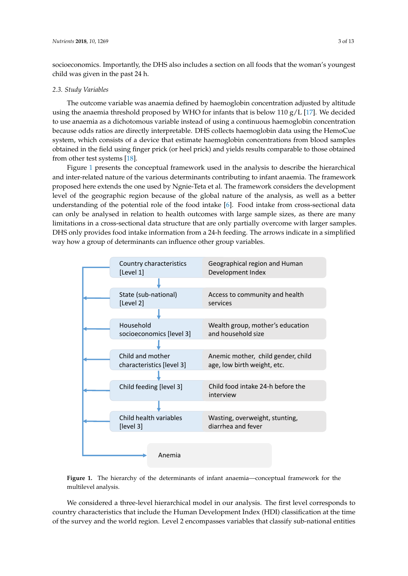socioeconomics. Importantly, the DHS also includes a section on all foods that the woman's youngest child was given in the past 24 h.

#### *2.3. Study Variables*

The outcome variable was anaemia defined by haemoglobin concentration adjusted by altitude using the anaemia threshold proposed by WHO for infants that is below 110  $g/L$  [17]. We decided to use anaemia as a dichotomous variable instead of using a continuous haemoglobin concentration because odds ratios are directly interpretable. DHS collects haemoglobin data using the HemoCue system, which consists of a device that estimate haemoglobin concentrations from blood samples obtained in the field using finger prick (or heel prick) and yields results comparable to those obtained from other test systems [18].

Figure 1 presents the conceptual framework used in the analysis to describe the hierarchical and inter-related nature of the various determinants contributing to infant anaemia. The framework proposed here extends the one used by Ngnie-Teta et al. The framework considers the development level of the geographic region because of the global nature of the analysis, as well as a better understanding of the potential role of the food intake [6]. Food intake from cross-sectional data can only be analysed in relation to health outcomes with large sample sizes, as there are many limitations in a cross-sectional data structure that are only partially overcome with larger samples. DHS only provides food intake information from a 24-h feeding. The arrows indicate in a simplified way how a group of determinants can influence other group variables.





We considered a three-level hierarchical model in our analysis. The first level corresponds to country characteristics that include the Human Development Index (HDI) classification at the time of the survey and the world region. Level 2 encompasses variables that classify sub-national entities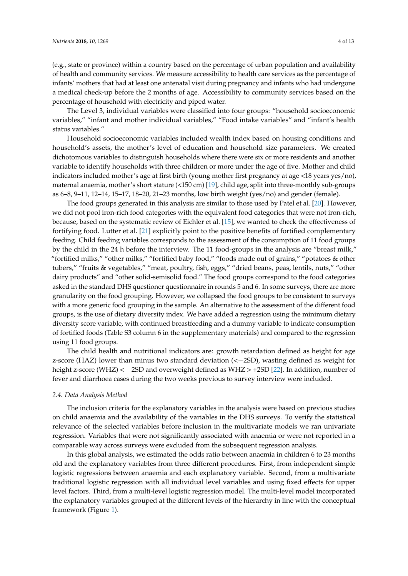(e.g., state or province) within a country based on the percentage of urban population and availability of health and community services. We measure accessibility to health care services as the percentage of infants' mothers that had at least one antenatal visit during pregnancy and infants who had undergone a medical check-up before the 2 months of age. Accessibility to community services based on the percentage of household with electricity and piped water.

The Level 3, individual variables were classified into four groups: "household socioeconomic variables," "infant and mother individual variables," "Food intake variables" and "infant's health status variables."

Household socioeconomic variables included wealth index based on housing conditions and household's assets, the mother's level of education and household size parameters. We created dichotomous variables to distinguish households where there were six or more residents and another variable to identify households with three children or more under the age of five. Mother and child indicators included mother's age at first birth (young mother first pregnancy at age <18 years yes/no), maternal anaemia, mother's short stature (<150 cm) [19], child age, split into three-monthly sub-groups as 6–8, 9–11, 12–14, 15–17, 18–20, 21–23 months, low birth weight (yes/no) and gender (female).

The food groups generated in this analysis are similar to those used by Patel et al. [20]. However, we did not pool iron-rich food categories with the equivalent food categories that were not iron-rich, because, based on the systematic review of Eichler et al. [15], we wanted to check the effectiveness of fortifying food. Lutter et al. [21] explicitly point to the positive benefits of fortified complementary feeding. Child feeding variables corresponds to the assessment of the consumption of 11 food groups by the child in the 24 h before the interview. The 11 food-groups in the analysis are "breast milk," "fortified milks," "other milks," "fortified baby food," "foods made out of grains," "potatoes & other tubers," "fruits & vegetables," "meat, poultry, fish, eggs," "dried beans, peas, lentils, nuts," "other dairy products" and "other solid-semisolid food." The food groups correspond to the food categories asked in the standard DHS questioner questionnaire in rounds 5 and 6. In some surveys, there are more granularity on the food grouping. However, we collapsed the food groups to be consistent to surveys with a more generic food grouping in the sample. An alternative to the assessment of the different food groups, is the use of dietary diversity index. We have added a regression using the minimum dietary diversity score variable, with continued breastfeeding and a dummy variable to indicate consumption of fortified foods (Table S3 column 6 in the supplementary materials) and compared to the regression using 11 food groups.

The child health and nutritional indicators are: growth retardation defined as height for age z-score (HAZ) lower than minus two standard deviation (<−2SD), wasting defined as weight for height z-score (WHZ) < −2SD and overweight defined as WHZ > +2SD [22]. In addition, number of fever and diarrhoea cases during the two weeks previous to survey interview were included.

#### *2.4. Data Analysis Method*

The inclusion criteria for the explanatory variables in the analysis were based on previous studies on child anaemia and the availability of the variables in the DHS surveys. To verify the statistical relevance of the selected variables before inclusion in the multivariate models we ran univariate regression. Variables that were not significantly associated with anaemia or were not reported in a comparable way across surveys were excluded from the subsequent regression analysis.

In this global analysis, we estimated the odds ratio between anaemia in children 6 to 23 months old and the explanatory variables from three different procedures. First, from independent simple logistic regressions between anaemia and each explanatory variable. Second, from a multivariate traditional logistic regression with all individual level variables and using fixed effects for upper level factors. Third, from a multi-level logistic regression model. The multi-level model incorporated the explanatory variables grouped at the different levels of the hierarchy in line with the conceptual framework (Figure 1).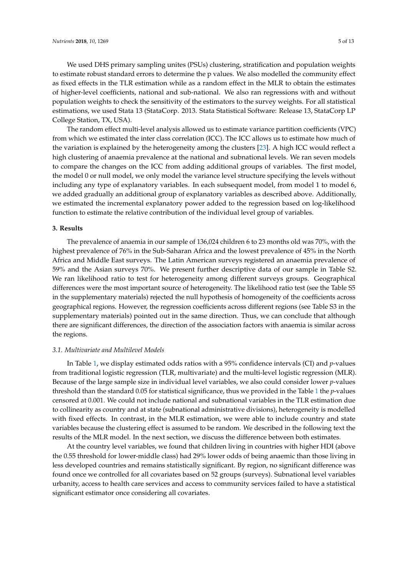We used DHS primary sampling unites (PSUs) clustering, stratification and population weights to estimate robust standard errors to determine the p values. We also modelled the community effect as fixed effects in the TLR estimation while as a random effect in the MLR to obtain the estimates of higher-level coefficients, national and sub-national. We also ran regressions with and without population weights to check the sensitivity of the estimators to the survey weights. For all statistical estimations, we used Stata 13 (StataCorp. 2013. Stata Statistical Software: Release 13, StataCorp LP College Station, TX, USA).

The random effect multi-level analysis allowed us to estimate variance partition coefficients (VPC) from which we estimated the inter class correlation (ICC). The ICC allows us to estimate how much of the variation is explained by the heterogeneity among the clusters [23]. A high ICC would reflect a high clustering of anaemia prevalence at the national and subnational levels. We ran seven models to compare the changes on the ICC from adding additional groups of variables. The first model, the model 0 or null model, we only model the variance level structure specifying the levels without including any type of explanatory variables. In each subsequent model, from model 1 to model 6, we added gradually an additional group of explanatory variables as described above. Additionally, we estimated the incremental explanatory power added to the regression based on log-likelihood function to estimate the relative contribution of the individual level group of variables.

## **3. Results**

The prevalence of anaemia in our sample of 136,024 children 6 to 23 months old was 70%, with the highest prevalence of 76% in the Sub-Saharan Africa and the lowest prevalence of 45% in the North Africa and Middle East surveys. The Latin American surveys registered an anaemia prevalence of 59% and the Asian surveys 70%. We present further descriptive data of our sample in Table S2. We ran likelihood ratio to test for heterogeneity among different surveys groups. Geographical differences were the most important source of heterogeneity. The likelihood ratio test (see the Table S5 in the supplementary materials) rejected the null hypothesis of homogeneity of the coefficients across geographical regions. However, the regression coefficients across different regions (see Table S3 in the supplementary materials) pointed out in the same direction. Thus, we can conclude that although there are significant differences, the direction of the association factors with anaemia is similar across the regions.

# *3.1. Multivariate and Multilevel Models*

In Table 1, we display estimated odds ratios with a 95% confidence intervals (CI) and *p*-values from traditional logistic regression (TLR, multivariate) and the multi-level logistic regression (MLR). Because of the large sample size in individual level variables, we also could consider lower *p*-values threshold than the standard 0.05 for statistical significance, thus we provided in the Table 1 the *p*-values censored at 0.001. We could not include national and subnational variables in the TLR estimation due to collinearity as country and at state (subnational administrative divisions), heterogeneity is modelled with fixed effects. In contrast, in the MLR estimation, we were able to include country and state variables because the clustering effect is assumed to be random. We described in the following text the results of the MLR model. In the next section, we discuss the difference between both estimates.

At the country level variables, we found that children living in countries with higher HDI (above the 0.55 threshold for lower-middle class) had 29% lower odds of being anaemic than those living in less developed countries and remains statistically significant. By region, no significant difference was found once we controlled for all covariates based on 52 groups (surveys). Subnational level variables urbanity, access to health care services and access to community services failed to have a statistical significant estimator once considering all covariates.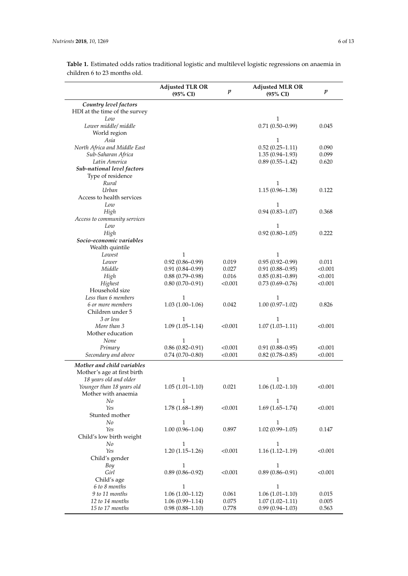|                                                        | <b>Adjusted TLR OR</b><br>$(95\% \text{ CI})$ | $\boldsymbol{p}$ | <b>Adjusted MLR OR</b><br>$(95\%$ CI | $\boldsymbol{p}$ |
|--------------------------------------------------------|-----------------------------------------------|------------------|--------------------------------------|------------------|
| Country level factors<br>HDI at the time of the survey |                                               |                  |                                      |                  |
| Low                                                    |                                               |                  | 1                                    |                  |
| Lower middle/ middle                                   |                                               |                  | $0.71(0.50 - 0.99)$                  | 0.045            |
|                                                        |                                               |                  |                                      |                  |
| World region                                           |                                               |                  |                                      |                  |
| Asia                                                   |                                               |                  | 1                                    |                  |
| North Africa and Middle East                           |                                               |                  | $0.52(0.25 - 1.11)$                  | 0.090            |
| Sub-Saharan Africa                                     |                                               |                  | $1.35(0.94 - 1.93)$                  | 0.099            |
| Latin America                                          |                                               |                  | $0.89(0.55 - 1.42)$                  | 0.620            |
| Sub-national level factors                             |                                               |                  |                                      |                  |
| Type of residence                                      |                                               |                  |                                      |                  |
| Rural                                                  |                                               |                  | $\mathbf{1}$                         |                  |
| Urban                                                  |                                               |                  | $1.15(0.96 - 1.38)$                  | 0.122            |
| Access to health services                              |                                               |                  |                                      |                  |
| Low                                                    |                                               |                  | 1                                    |                  |
| High                                                   |                                               |                  | $0.94(0.83 - 1.07)$                  | 0.368            |
| Access to community services                           |                                               |                  |                                      |                  |
| Low                                                    |                                               |                  | 1                                    |                  |
| High                                                   |                                               |                  | $0.92(0.80-1.05)$                    | 0.222            |
| Socio-economic variables                               |                                               |                  |                                      |                  |
| Wealth quintile                                        |                                               |                  |                                      |                  |
| Lowest                                                 | 1                                             |                  | 1                                    |                  |
| Lower                                                  | $0.92(0.86 - 0.99)$                           | 0.019            | $0.95(0.92 - 0.99)$                  | 0.011            |
| Middle                                                 | $0.91(0.84 - 0.99)$                           | 0.027            | $0.91(0.88 - 0.95)$                  | < 0.001          |
| High                                                   | $0.88(0.79-0.98)$                             | 0.016            | $0.85(0.81 - 0.89)$                  | < 0.001          |
| Highest                                                | $0.80(0.70-0.91)$                             | < 0.001          | $0.73(0.69 - 0.76)$                  | < 0.001          |
| Household size                                         |                                               |                  |                                      |                  |
| Less than 6 members                                    | $\mathbf{1}$                                  |                  | 1                                    |                  |
|                                                        |                                               | 0.042            |                                      | 0.826            |
| 6 or more members                                      | $1.03(1.00-1.06)$                             |                  | $1.00(0.97-1.02)$                    |                  |
| Children under 5                                       |                                               |                  |                                      |                  |
| 3 or less                                              | 1                                             |                  | 1                                    |                  |
| More than 3                                            | $1.09(1.05-1.14)$                             | < 0.001          | $1.07(1.03 - 1.11)$                  | < 0.001          |
| Mother education                                       |                                               |                  |                                      |                  |
| None                                                   | 1                                             |                  | 1                                    |                  |
| Primary                                                | $0.86(0.82 - 0.91)$                           | < 0.001          | $0.91(0.88 - 0.95)$                  | < 0.001          |
| Secondary and above                                    | $0.74(0.70-0.80)$                             | < 0.001          | $0.82$ (0.78-0.85)                   | < 0.001          |
| Mother and child variables                             |                                               |                  |                                      |                  |
| Mother's age at first birth                            |                                               |                  |                                      |                  |
| 18 years old and older                                 | 1                                             |                  | 1                                    |                  |
| Younger than 18 years old                              | $1.05(1.01-1.10)$                             | 0.021            | $1.06(1.02 - 1.10)$                  | < 0.001          |
| Mother with anaemia                                    |                                               |                  |                                      |                  |
| No                                                     | $\mathbf{1}$                                  |                  | $\mathbf{1}$                         |                  |
| Yes                                                    | $1.78(1.68 - 1.89)$                           | < 0.001          | $1.69(1.65 - 1.74)$                  | < 0.001          |
| Stunted mother                                         |                                               |                  |                                      |                  |
| No                                                     | 1                                             |                  | 1                                    |                  |
| Yes                                                    |                                               |                  |                                      |                  |
|                                                        | $1.00(0.96 - 1.04)$                           | 0.897            | $1.02(0.99 - 1.05)$                  | 0.147            |
| Child's low birth weight                               |                                               |                  |                                      |                  |
| No                                                     | 1                                             |                  | 1                                    |                  |
| Yes                                                    | $1.20(1.15-1.26)$                             | < 0.001          | $1.16(1.12 - 1.19)$                  | < 0.001          |
| Child's gender                                         |                                               |                  |                                      |                  |
| Boy                                                    | 1                                             |                  | $\mathbf{1}$                         |                  |
| Girl                                                   | $0.89(0.86 - 0.92)$                           | < 0.001          | $0.89(0.86 - 0.91)$                  | < 0.001          |
| Child's age                                            |                                               |                  |                                      |                  |
| 6 to 8 months                                          | $\mathbf{1}$                                  |                  | $\mathbf{1}$                         |                  |
| 9 to 11 months                                         | $1.06(1.00-1.12)$                             | 0.061            | $1.06(1.01 - 1.10)$                  | 0.015            |
| 12 to 14 months                                        | $1.06(0.99 - 1.14)$                           | 0.075            | $1.07(1.02 - 1.11)$                  | 0.005            |
| 15 to 17 months                                        | $0.98(0.88 - 1.10)$                           | 0.778            | $0.99(0.94 - 1.03)$                  | 0.563            |

**Table 1.** Estimated odds ratios traditional logistic and multilevel logistic regressions on anaemia in children 6 to 23 months old.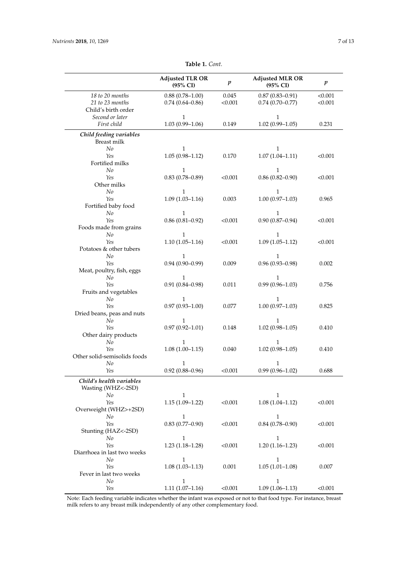| <b>Adjusted TLR OR</b><br>(95% CI) | $\boldsymbol{p}$                                                                                                                                                                                                                                                                                                                                                                                                                | <b>Adjusted MLR OR</b><br>(95% CI)                                                                                            | $\boldsymbol{p}$                                                                                                                                                                                                                                                                                                                                                                                      |
|------------------------------------|---------------------------------------------------------------------------------------------------------------------------------------------------------------------------------------------------------------------------------------------------------------------------------------------------------------------------------------------------------------------------------------------------------------------------------|-------------------------------------------------------------------------------------------------------------------------------|-------------------------------------------------------------------------------------------------------------------------------------------------------------------------------------------------------------------------------------------------------------------------------------------------------------------------------------------------------------------------------------------------------|
|                                    |                                                                                                                                                                                                                                                                                                                                                                                                                                 |                                                                                                                               | < 0.001                                                                                                                                                                                                                                                                                                                                                                                               |
|                                    |                                                                                                                                                                                                                                                                                                                                                                                                                                 |                                                                                                                               | < 0.001                                                                                                                                                                                                                                                                                                                                                                                               |
|                                    |                                                                                                                                                                                                                                                                                                                                                                                                                                 |                                                                                                                               |                                                                                                                                                                                                                                                                                                                                                                                                       |
| $\mathbf{1}$                       |                                                                                                                                                                                                                                                                                                                                                                                                                                 | 1                                                                                                                             |                                                                                                                                                                                                                                                                                                                                                                                                       |
|                                    | 0.149                                                                                                                                                                                                                                                                                                                                                                                                                           |                                                                                                                               | 0.231                                                                                                                                                                                                                                                                                                                                                                                                 |
|                                    |                                                                                                                                                                                                                                                                                                                                                                                                                                 |                                                                                                                               |                                                                                                                                                                                                                                                                                                                                                                                                       |
|                                    |                                                                                                                                                                                                                                                                                                                                                                                                                                 |                                                                                                                               |                                                                                                                                                                                                                                                                                                                                                                                                       |
| 1                                  |                                                                                                                                                                                                                                                                                                                                                                                                                                 | 1                                                                                                                             |                                                                                                                                                                                                                                                                                                                                                                                                       |
|                                    | 0.170                                                                                                                                                                                                                                                                                                                                                                                                                           |                                                                                                                               | < 0.001                                                                                                                                                                                                                                                                                                                                                                                               |
|                                    |                                                                                                                                                                                                                                                                                                                                                                                                                                 |                                                                                                                               |                                                                                                                                                                                                                                                                                                                                                                                                       |
|                                    |                                                                                                                                                                                                                                                                                                                                                                                                                                 |                                                                                                                               |                                                                                                                                                                                                                                                                                                                                                                                                       |
|                                    |                                                                                                                                                                                                                                                                                                                                                                                                                                 |                                                                                                                               | < 0.001                                                                                                                                                                                                                                                                                                                                                                                               |
|                                    |                                                                                                                                                                                                                                                                                                                                                                                                                                 |                                                                                                                               |                                                                                                                                                                                                                                                                                                                                                                                                       |
|                                    |                                                                                                                                                                                                                                                                                                                                                                                                                                 |                                                                                                                               | 0.965                                                                                                                                                                                                                                                                                                                                                                                                 |
|                                    |                                                                                                                                                                                                                                                                                                                                                                                                                                 |                                                                                                                               |                                                                                                                                                                                                                                                                                                                                                                                                       |
|                                    |                                                                                                                                                                                                                                                                                                                                                                                                                                 |                                                                                                                               |                                                                                                                                                                                                                                                                                                                                                                                                       |
|                                    |                                                                                                                                                                                                                                                                                                                                                                                                                                 |                                                                                                                               | < 0.001                                                                                                                                                                                                                                                                                                                                                                                               |
|                                    |                                                                                                                                                                                                                                                                                                                                                                                                                                 |                                                                                                                               |                                                                                                                                                                                                                                                                                                                                                                                                       |
| 1                                  |                                                                                                                                                                                                                                                                                                                                                                                                                                 | $\mathbf{1}$                                                                                                                  |                                                                                                                                                                                                                                                                                                                                                                                                       |
|                                    | < 0.001                                                                                                                                                                                                                                                                                                                                                                                                                         | $1.09(1.05 - 1.12)$                                                                                                           | < 0.001                                                                                                                                                                                                                                                                                                                                                                                               |
|                                    |                                                                                                                                                                                                                                                                                                                                                                                                                                 |                                                                                                                               |                                                                                                                                                                                                                                                                                                                                                                                                       |
| 1                                  |                                                                                                                                                                                                                                                                                                                                                                                                                                 | 1                                                                                                                             |                                                                                                                                                                                                                                                                                                                                                                                                       |
|                                    |                                                                                                                                                                                                                                                                                                                                                                                                                                 |                                                                                                                               | 0.002                                                                                                                                                                                                                                                                                                                                                                                                 |
|                                    |                                                                                                                                                                                                                                                                                                                                                                                                                                 |                                                                                                                               |                                                                                                                                                                                                                                                                                                                                                                                                       |
|                                    |                                                                                                                                                                                                                                                                                                                                                                                                                                 |                                                                                                                               |                                                                                                                                                                                                                                                                                                                                                                                                       |
|                                    |                                                                                                                                                                                                                                                                                                                                                                                                                                 |                                                                                                                               | 0.756                                                                                                                                                                                                                                                                                                                                                                                                 |
|                                    |                                                                                                                                                                                                                                                                                                                                                                                                                                 |                                                                                                                               |                                                                                                                                                                                                                                                                                                                                                                                                       |
|                                    |                                                                                                                                                                                                                                                                                                                                                                                                                                 |                                                                                                                               | 0.825                                                                                                                                                                                                                                                                                                                                                                                                 |
|                                    |                                                                                                                                                                                                                                                                                                                                                                                                                                 |                                                                                                                               |                                                                                                                                                                                                                                                                                                                                                                                                       |
|                                    |                                                                                                                                                                                                                                                                                                                                                                                                                                 |                                                                                                                               |                                                                                                                                                                                                                                                                                                                                                                                                       |
|                                    |                                                                                                                                                                                                                                                                                                                                                                                                                                 |                                                                                                                               | 0.410                                                                                                                                                                                                                                                                                                                                                                                                 |
|                                    |                                                                                                                                                                                                                                                                                                                                                                                                                                 |                                                                                                                               |                                                                                                                                                                                                                                                                                                                                                                                                       |
| 1                                  |                                                                                                                                                                                                                                                                                                                                                                                                                                 | $\mathbf{1}$                                                                                                                  |                                                                                                                                                                                                                                                                                                                                                                                                       |
| $1.08(1.00-1.15)$                  | 0.040                                                                                                                                                                                                                                                                                                                                                                                                                           | $1.02(0.98 - 1.05)$                                                                                                           | 0.410                                                                                                                                                                                                                                                                                                                                                                                                 |
|                                    |                                                                                                                                                                                                                                                                                                                                                                                                                                 |                                                                                                                               |                                                                                                                                                                                                                                                                                                                                                                                                       |
| $\mathbf{1}$                       |                                                                                                                                                                                                                                                                                                                                                                                                                                 | $\mathbf{1}$                                                                                                                  |                                                                                                                                                                                                                                                                                                                                                                                                       |
|                                    |                                                                                                                                                                                                                                                                                                                                                                                                                                 |                                                                                                                               | 0.688                                                                                                                                                                                                                                                                                                                                                                                                 |
|                                    |                                                                                                                                                                                                                                                                                                                                                                                                                                 |                                                                                                                               |                                                                                                                                                                                                                                                                                                                                                                                                       |
|                                    |                                                                                                                                                                                                                                                                                                                                                                                                                                 |                                                                                                                               |                                                                                                                                                                                                                                                                                                                                                                                                       |
| 1                                  |                                                                                                                                                                                                                                                                                                                                                                                                                                 | 1                                                                                                                             |                                                                                                                                                                                                                                                                                                                                                                                                       |
| $1.15(1.09-1.22)$                  | < 0.001                                                                                                                                                                                                                                                                                                                                                                                                                         | $1.08(1.04 - 1.12)$                                                                                                           | < 0.001                                                                                                                                                                                                                                                                                                                                                                                               |
|                                    |                                                                                                                                                                                                                                                                                                                                                                                                                                 |                                                                                                                               |                                                                                                                                                                                                                                                                                                                                                                                                       |
|                                    |                                                                                                                                                                                                                                                                                                                                                                                                                                 |                                                                                                                               |                                                                                                                                                                                                                                                                                                                                                                                                       |
|                                    |                                                                                                                                                                                                                                                                                                                                                                                                                                 |                                                                                                                               | < 0.001                                                                                                                                                                                                                                                                                                                                                                                               |
|                                    |                                                                                                                                                                                                                                                                                                                                                                                                                                 |                                                                                                                               |                                                                                                                                                                                                                                                                                                                                                                                                       |
|                                    |                                                                                                                                                                                                                                                                                                                                                                                                                                 |                                                                                                                               | < 0.001                                                                                                                                                                                                                                                                                                                                                                                               |
|                                    |                                                                                                                                                                                                                                                                                                                                                                                                                                 |                                                                                                                               |                                                                                                                                                                                                                                                                                                                                                                                                       |
|                                    |                                                                                                                                                                                                                                                                                                                                                                                                                                 |                                                                                                                               |                                                                                                                                                                                                                                                                                                                                                                                                       |
|                                    |                                                                                                                                                                                                                                                                                                                                                                                                                                 |                                                                                                                               | 0.007                                                                                                                                                                                                                                                                                                                                                                                                 |
|                                    |                                                                                                                                                                                                                                                                                                                                                                                                                                 |                                                                                                                               |                                                                                                                                                                                                                                                                                                                                                                                                       |
| 1                                  |                                                                                                                                                                                                                                                                                                                                                                                                                                 | 1                                                                                                                             |                                                                                                                                                                                                                                                                                                                                                                                                       |
| $1.11(1.07-1.16)$                  | < 0.001                                                                                                                                                                                                                                                                                                                                                                                                                         | $1.09(1.06 - 1.13)$                                                                                                           | < 0.001                                                                                                                                                                                                                                                                                                                                                                                               |
|                                    | $0.88(0.78 - 1.00)$<br>$0.74(0.64 - 0.86)$<br>$1.03(0.99 - 1.06)$<br>$1.05(0.98 - 1.12)$<br>$\mathbf{1}$<br>$0.83(0.78 - 0.89)$<br>1<br>$1.09(1.03 - 1.16)$<br>1<br>$0.86(0.81 - 0.92)$<br>$1.10(1.05-1.16)$<br>$0.94(0.90 - 0.99)$<br>1<br>$0.91(0.84 - 0.98)$<br>1<br>$0.97(0.93 - 1.00)$<br>1.<br>$0.97(0.92 - 1.01)$<br>$0.92(0.88 - 0.96)$<br>1<br>$0.83(0.77-0.90)$<br>1<br>$1.23(1.18-1.28)$<br>1<br>$1.08(1.03 - 1.13)$ | 0.045<br>< 0.001<br>< 0.001<br>0.003<br>< 0.001<br>0.009<br>0.011<br>0.077<br>0.148<br>< 0.001<br>< 0.001<br>< 0.001<br>0.001 | $0.87(0.83 - 0.91)$<br>$0.74(0.70 - 0.77)$<br>$1.02(0.99 - 1.05)$<br>$1.07(1.04 - 1.11)$<br>$\mathbf{1}$<br>$0.86(0.82 - 0.90)$<br>1<br>$1.00(0.97-1.03)$<br>1<br>$0.90(0.87 - 0.94)$<br>$0.96(0.93 - 0.98)$<br>1<br>$0.99(0.96 - 1.03)$<br>1<br>$1.00(0.97-1.03)$<br>1<br>$1.02(0.98 - 1.05)$<br>$0.99(0.96 - 1.02)$<br>1<br>$0.84(0.78 - 0.90)$<br>1<br>$1.20(1.16-1.23)$<br>1<br>$1.05(1.01-1.08)$ |

**Table 1.** *Cont.*

Note: Each feeding variable indicates whether the infant was exposed or not to that food type. For instance, breast milk refers to any breast milk independently of any other complementary food.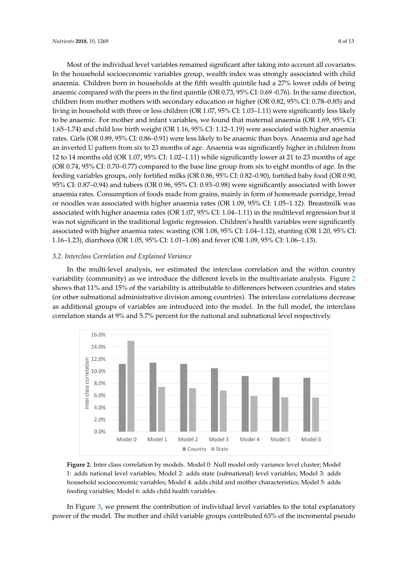Most of the individual level variables remained significant after taking into account all covariates. In the household socioeconomic variables group, wealth index was strongly associated with child anaemia. Children born in households at the fifth wealth quintile had a 27% lower odds of being anaemic compared with the peers in the first quintile (OR 0.73, 95% CI: 0.69 -0.76). In the same direction, children from mother mothers with secondary education or higher (OR 0.82, 95% CI: 0.78–0.85) and living in household with three or less children (OR 1.07, 95% CI: 1.03–1.11) were significantly less likely to be anaemic. For mother and infant variables, we found that maternal anaemia (OR 1.69, 95% CI: 1.65–1.74) and child low birth weight (OR 1.16, 95% CI: 1.12–1.19) were associated with higher anaemia rates. Girls (OR 0.89, 95% CI: 0.86–0.91) were less likely to be anaemic than boys. Anaemia and age had an inverted U pattern from six to 23 months of age. Anaemia was significantly higher in children from 12 to 14 months old (OR 1.07, 95% CI: 1.02–1.11) while significantly lower at 21 to 23 months of age (OR 0.74, 95% CI: 0.70–0.77) compared to the base line group from six to eight months of age. In the feeding variables groups, only fortified milks (OR 0.86, 95% CI: 0.82–0.90), fortified baby food (OR 0.90, 95% CI: 0.87–0.94) and tubers (OR 0.96, 95% CI: 0.93–0.98) were significantly associated with lower anaemia rates. Consumption of foods made from grains, mainly in form of homemade porridge, bread or noodles was associated with higher anaemia rates (OR 1.09, 95% CI: 1.05–1.12). Breastmilk was associated with higher anaemia rates (OR 1.07, 95% CI: 1.04–1.11) in the multilevel regression but it was not significant in the traditional logistic regression. Children's health variables were significantly associated with higher anaemia rates: wasting (OR 1.08, 95% CI: 1.04–1.12), stunting (OR 1.20, 95% CI: 1.16–1.23), diarrhoea (OR 1.05, 95% CI: 1.01–1.08) and fever (OR 1.09, 95% CI: 1.06–1.13).

#### *3.2. Interclass Correlation and Explained Variance*

In the multi-level analysis, we estimated the interclass correlation and the within country variability (community) as we introduce the different levels in the multivariate analysis. Figure 2 shows that 11% and 15% of the variability is attributable to differences between countries and states (or other subnational administrative division among countries). The interclass correlations decrease as additional groups of variables are introduced into the model. In the full model, the interclass correlation stands at 9% and 5.7% percent for the national and subnational level respectively.



Figure 2. Inter class correlation by models. Model 0: Null model only variance level cluster; Model adds national level variables; Model 2: adds state (subnational) level variables; Model 3: adds 1: adds national level variables; Model 2: adds state (subnational) level variables; Model 3: adds household socioeconomic variables; Model 4: adds child and mother characteristics; Model 5: adds household socioeconomic variables; Model 4: adds child and mother characteristics; Model 5: adds feeding variables; Model 6: adds child health variables. feeding variables; Model 6: adds child health variables.

In Figure 3, we present the contribution of individual level variables to the total explanatory In Figure 3, we present the contribution of individual level variables to the total explanatory power of the model. The mother and child variable groups contributed 63% of the incremental power of the model. The mother and child variable groups contributed 63% of the incremental pseudo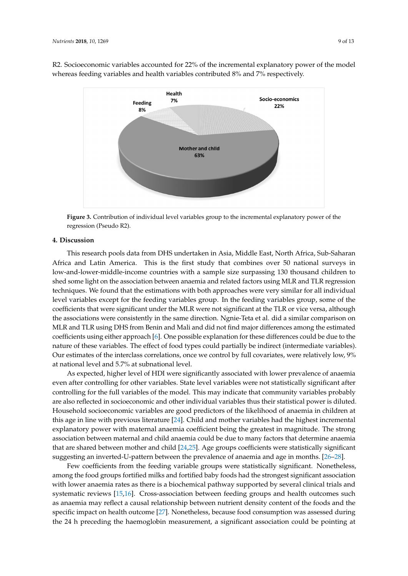

R2. Socioeconomic variables accounted for 22% of the incremental explanatory power of the model whereas feeding variables and health variables contributed 8% and 7% respectively.

**Figure 3.** Contribution of individual level variables group to the incremental explanatory power of the interval  $\frac{p}{p}$ regression (Pseudo R2).

#### **4. Discussion**

**4. Discussion**  This research pools data from DHS undertaken in Asia, Middle East, North Africa, Sub-Saharan low-and-lower-middle-income countries with a sample size surpassing 130 thousand children to shed some light on the association between anaemia and related factors using MLR and TLR regression techniques. We found that the estimations with both approaches were very similar for all individual level variables except for the feeding variables group. In the feeding variables group, some of the coefficients that were significant under the MLR were not significant at the TLR or vice versa, although the associations were consistently in the same direction. Ngnie-Teta et al. did a similar comparison on MLR and TLR using DHS from Benin and Mali and did not find major differences among the estimated coefficients using either approach [6]. One possible explanation for these differences could be due to the nature of these variables. The effect of food types could partially be indirect (intermediate variables). Our estimates of the interclass correlations, once we control by full covariates, were relatively low, 9% Africa and Latin America. This is the first study that combines over 50 national surveys in at national level and 5.7% at subnational level.

As expected, higher level of HDI were significantly associated with lower prevalence of anaemia even after controlling for other variables. State level variables were not statistically significant after controlling for the full variables of the model. This may indicate that community variables probably are also reflected in socioeconomic and other individual variables thus their statistical power is diluted. Household socioeconomic variables are good predictors of the likelihood of anaemia in children at this age in line with previous literature [24]. Child and mother variables had the highest incremental explanatory power with maternal anaemia coefficient being the greatest in magnitude. The strong association between maternal and child anaemia could be due to many factors that determine anaemia that are shared between mother and child [24,25]. Age groups coefficients were statistically significant suggesting an inverted-U-pattern between the prevalence of anaemia and age in months. [26–28].

Few coefficients from the feeding variable groups were statistically significant. Nonetheless, among the food groups fortified milks and fortified baby foods had the strongest significant association with lower anaemia rates as there is a biochemical pathway supported by several clinical trials and systematic reviews [15,16]. Cross-association between feeding groups and health outcomes such as anaemia may reflect a causal relationship between nutrient density content of the foods and the specific impact on health outcome [27]. Nonetheless, because food consumption was assessed during the 24 h preceding the haemoglobin measurement, a significant association could be pointing at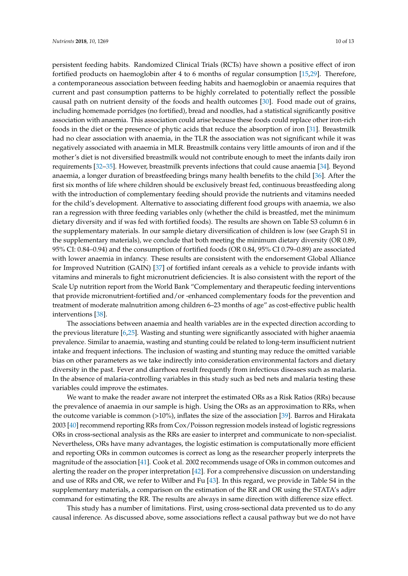persistent feeding habits. Randomized Clinical Trials (RCTs) have shown a positive effect of iron fortified products on haemoglobin after 4 to 6 months of regular consumption [15,29]. Therefore, a contemporaneous association between feeding habits and haemoglobin or anaemia requires that current and past consumption patterns to be highly correlated to potentially reflect the possible causal path on nutrient density of the foods and health outcomes [30]. Food made out of grains, including homemade porridges (no fortified), bread and noodles, had a statistical significantly positive association with anaemia. This association could arise because these foods could replace other iron-rich foods in the diet or the presence of phytic acids that reduce the absorption of iron [31]. Breastmilk had no clear association with anaemia, in the TLR the association was not significant while it was negatively associated with anaemia in MLR. Breastmilk contains very little amounts of iron and if the mother's diet is not diversified breastmilk would not contribute enough to meet the infants daily iron requirements [32–35]. However, breastmilk prevents infections that could cause anaemia [34]. Beyond anaemia, a longer duration of breastfeeding brings many health benefits to the child [36]. After the first six months of life where children should be exclusively breast fed, continuous breastfeeding along with the introduction of complementary feeding should provide the nutrients and vitamins needed for the child's development. Alternative to associating different food groups with anaemia, we also ran a regression with three feeding variables only (whether the child is breastfed, met the minimum dietary diversity and if was fed with fortified foods). The results are shown on Table S3 column 6 in the supplementary materials. In our sample dietary diversification of children is low (see Graph S1 in the supplementary materials), we conclude that both meeting the minimum dietary diversity (OR 0.89, 95% CI: 0.84–0.94) and the consumption of fortified foods (OR 0.84, 95% CI 0.79–0.89) are associated with lower anaemia in infancy. These results are consistent with the endorsement Global Alliance for Improved Nutrition (GAIN) [37] of fortified infant cereals as a vehicle to provide infants with vitamins and minerals to fight micronutrient deficiencies. It is also consistent with the report of the Scale Up nutrition report from the World Bank "Complementary and therapeutic feeding interventions that provide micronutrient-fortified and/or -enhanced complementary foods for the prevention and treatment of moderate malnutrition among children 6–23 months of age" as cost-effective public health interventions [38].

The associations between anaemia and health variables are in the expected direction according to the previous literature [6,25]. Wasting and stunting were significantly associated with higher anaemia prevalence. Similar to anaemia, wasting and stunting could be related to long-term insufficient nutrient intake and frequent infections. The inclusion of wasting and stunting may reduce the omitted variable bias on other parameters as we take indirectly into consideration environmental factors and dietary diversity in the past. Fever and diarrhoea result frequently from infectious diseases such as malaria. In the absence of malaria-controlling variables in this study such as bed nets and malaria testing these variables could improve the estimates.

We want to make the reader aware not interpret the estimated ORs as a Risk Ratios (RRs) because the prevalence of anaemia in our sample is high. Using the ORs as an approximation to RRs, when the outcome variable is common (>10%), inflates the size of the association [39]. Barros and Hirakata 2003 [40] recommend reporting RRs from Cox/Poisson regression models instead of logistic regressions ORs in cross-sectional analysis as the RRs are easier to interpret and communicate to non-specialist. Nevertheless, ORs have many advantages, the logistic estimation is computationally more efficient and reporting ORs in common outcomes is correct as long as the researcher properly interprets the magnitude of the association [41]. Cook et al. 2002 recommends usage of ORs in common outcomes and alerting the reader on the proper interpretation [42]. For a comprehensive discussion on understanding and use of RRs and OR, we refer to Wilber and Fu [43]. In this regard, we provide in Table S4 in the supplementary materials, a comparison on the estimation of the RR and OR using the STATA's adjrr command for estimating the RR. The results are always in same direction with difference size effect.

This study has a number of limitations. First, using cross-sectional data prevented us to do any causal inference. As discussed above, some associations reflect a causal pathway but we do not have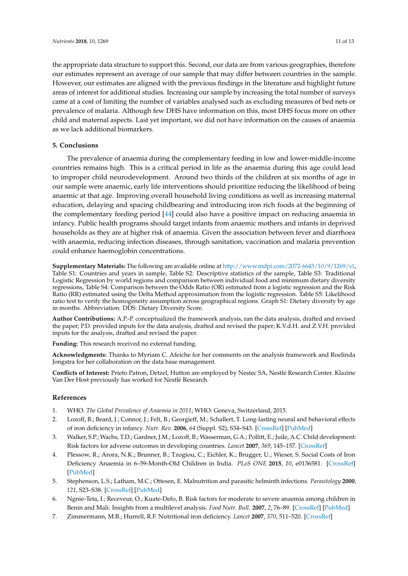the appropriate data structure to support this. Second, our data are from various geographies, therefore our estimates represent an average of our sample that may differ between countries in the sample. However, our estimates are aligned with the previous findings in the literature and highlight future areas of interest for additional studies. Increasing our sample by increasing the total number of surveys came at a cost of limiting the number of variables analysed such as excluding measures of bed nets or prevalence of malaria. Although few DHS have information on this, most DHS focus more on other child and maternal aspects. Last yet important, we did not have information on the causes of anaemia as we lack additional biomarkers.

## **5. Conclusions**

The prevalence of anaemia during the complementary feeding in low and lower-middle-income countries remains high. This is a critical period in life as the anaemia during this age could lead to improper child neurodevelopment. Around two thirds of the children at six months of age in our sample were anaemic, early life interventions should prioritize reducing the likelihood of being anaemic at that age. Improving overall household living conditions as well as increasing maternal education, delaying and spacing childbearing and introducing iron rich foods at the beginning of the complementary feeding period [44] could also have a positive impact on reducing anaemia in infancy. Public health programs should target infants from anaemic mothers and infants in deprived households as they are at higher risk of anaemia. Given the association between fever and diarrhoea with anaemia, reducing infection diseases, through sanitation, vaccination and malaria prevention could enhance haemoglobin concentrations.

**Supplementary Materials:** The following are available online at [http://www.mdpi.com/2072-6643/10/9/1269/s1,](http://www.mdpi.com/2072-6643/10/9/1269/s1) Table S1: Countries and years in sample, Table S2: Descriptive statistics of the sample, Table S3: Traditional Logistic Regression by world regions and comparison between individual food and minimum dietary diversity regressions, Table S4: Comparison between the Odds Ratio (OR) estimated from a logistic regression and the Risk Ratio (RR) estimated using the Delta Method approximation from the logistic regression. Table S5: Likelihood ratio test to verify the homogeneity assumption across geographical regions. Graph S1: Dietary diversity by age in months. Abbreviation: DDS: Dietary Diversity Score.

**Author Contributions:** A.P.-P. conceptualized the framework analysis, ran the data analysis, drafted and revised the paper; P.D. provided inputs for the data analysis, drafted and revised the paper; K.V.d.H. and Z.V.H. provided inputs for the analysis, drafted and revised the paper.

**Funding:** This research received no external funding.

**Acknowledgments:** Thanks to Myriam C. Afeiche for her comments on the analysis framework and Roelinda Jongstra for her collaboration on the data base management.

**Conflicts of Interest:** Prieto Patron, Detzel, Hutton are employed by Nestec SA, Nestlé Research Center. Klazine Van Der Host previously has worked for Nestlé Research.

#### **References**

- 1. WHO. *The Global Prevalence of Anaemia in 2011*; WHO: Geneva, Switzerland, 2015.
- 2. Lozoff, B.; Beard, J.; Connor, J.; Felt, B.; Georgieff, M.; Schallert, T. Long-lasting neural and behavioral effects of iron deficiency in infancy. *Nutr. Rev.* **2006**, *64* (Suppl. S2), S34–S43. [\[CrossRef\]](http://dx.doi.org/10.1301/nr.2006.may.S34-S43) [\[PubMed\]](http://www.ncbi.nlm.nih.gov/pubmed/16770951)
- 3. Walker, S.P.; Wachs, T.D.; Gardner, J.M.; Lozoff, B.; Wasserman, G.A.; Pollitt, E.; Juile, A.C. Child development: Risk factors for adverse outcomes in developing countries. *Lancet* **2007**, *369*, 145–157. [\[CrossRef\]](http://dx.doi.org/10.1016/S0140-6736(07)60076-2)
- 4. Plessow, R.; Arora, N.K.; Brunner, B.; Tzogiou, C.; Eichler, K.; Brugger, U.; Wieser, S. Social Costs of Iron Deficiency Anaemia in 6–59-Month-Old Children in India. *PLoS ONE* **2015**, *10*, e0136581. [\[CrossRef\]](http://dx.doi.org/10.1371/journal.pone.0136581) [\[PubMed\]](http://www.ncbi.nlm.nih.gov/pubmed/26313356)
- 5. Stephenson, L.S.; Latham, M.C.; Ottesen, E. Malnutrition and parasitic helminth infections. *Parasitology* **2000**, *121*, S23–S38. [\[CrossRef\]](http://dx.doi.org/10.1017/S0031182000006491) [\[PubMed\]](http://www.ncbi.nlm.nih.gov/pubmed/11386688)
- 6. Ngnie-Teta, I.; Receveur, O.; Kuate-Defo, B. Risk factors for moderate to severe anaemia among children in Benin and Mali: Insights from a multilevel analysis. *Food Nutr. Bull.* **2007**, *2*, 76–89. [\[CrossRef\]](http://dx.doi.org/10.1177/156482650702800109) [\[PubMed\]](http://www.ncbi.nlm.nih.gov/pubmed/17718015)
- 7. Zimmermann, M.B.; Hurrell, R.F. Nutritional iron deficiency. *Lancet* **2007**, *370*, 511–520. [\[CrossRef\]](http://dx.doi.org/10.1016/S0140-6736(07)61235-5)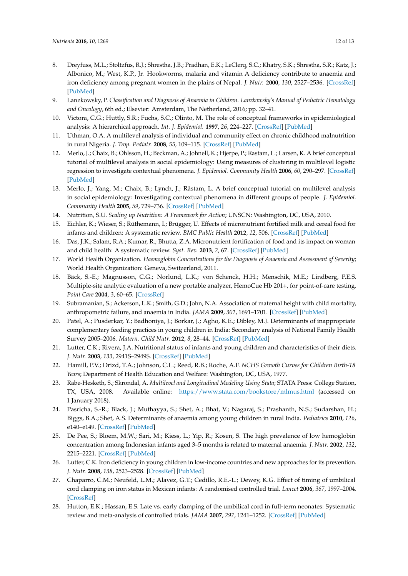- 8. Dreyfuss, M.L.; Stoltzfus, R.J.; Shrestha, J.B.; Pradhan, E.K.; LeClerq, S.C.; Khatry, S.K.; Shrestha, S.R.; Katz, J.; Albonico, M.; West, K.P., Jr. Hookworms, malaria and vitamin A deficiency contribute to anaemia and iron deficiency among pregnant women in the plains of Nepal. *J. Nutr.* **2000**, *130*, 2527–2536. [\[CrossRef\]](http://dx.doi.org/10.1093/jn/130.10.2527) [\[PubMed\]](http://www.ncbi.nlm.nih.gov/pubmed/11015485)
- 9. Lanzkowsky, P. *Classification and Diagnosis of Anaemia in Children. Lanzkowsky's Manual of Pediatric Hematology and Oncology*, 6th ed.; Elsevier: Amsterdam, The Netherland, 2016; pp. 32–41.
- 10. Victora, C.G.; Huttly, S.R.; Fuchs, S.C.; Olinto, M. The role of conceptual frameworks in epidemiological analysis: A hierarchical approach. *Int. J. Epidemiol.* **1997**, *26*, 224–227. [\[CrossRef\]](http://dx.doi.org/10.1093/ije/26.1.224) [\[PubMed\]](http://www.ncbi.nlm.nih.gov/pubmed/9126524)
- 11. Uthman, O.A. A multilevel analysis of individual and community effect on chronic childhood malnutrition in rural Nigeria. *J. Trop. Pediatr.* **2008**, *55*, 109–115. [\[CrossRef\]](http://dx.doi.org/10.1093/tropej/fmn093) [\[PubMed\]](http://www.ncbi.nlm.nih.gov/pubmed/18845589)
- 12. Merlo, J.; Chaix, B.; Ohlsson, H.; Beckman, A.; Johnell, K.; Hjerpe, P.; Rastam, L.; Larsen, K. A brief conceptual tutorial of multilevel analysis in social epidemiology: Using measures of clustering in multilevel logistic regression to investigate contextual phenomena. *J. Epidemiol. Community Health* **2006**, *60*, 290–297. [\[CrossRef\]](http://dx.doi.org/10.1136/jech.2004.029454) [\[PubMed\]](http://www.ncbi.nlm.nih.gov/pubmed/16537344)
- 13. Merlo, J.; Yang, M.; Chaix, B.; Lynch, J.; Råstam, L. A brief conceptual tutorial on multilevel analysis in social epidemiology: Investigating contextual phenomena in different groups of people. *J. Epidemiol. Community Health* **2005**, *59*, 729–736. [\[CrossRef\]](http://dx.doi.org/10.1136/jech.2004.023929) [\[PubMed\]](http://www.ncbi.nlm.nih.gov/pubmed/16100308)
- 14. Nutrition, S.U. *Scaling up Nutrition: A Framework for Action*; UNSCN: Washington, DC, USA, 2010.
- 15. Eichler, K.; Wieser, S.; Rüthemann, I.; Brügger, U. Effects of micronutrient fortified milk and cereal food for infants and children: A systematic review. *BMC Public Health* **2012**, *12*, 506. [\[CrossRef\]](http://dx.doi.org/10.1186/1471-2458-12-506) [\[PubMed\]](http://www.ncbi.nlm.nih.gov/pubmed/22770558)
- 16. Das, J.K.; Salam, R.A.; Kumar, R.; Bhutta, Z.A. Micronutrient fortification of food and its impact on woman and child health: A systematic review. *Syst. Rev.* **2013**, *2*, 67. [\[CrossRef\]](http://dx.doi.org/10.1186/2046-4053-2-67) [\[PubMed\]](http://www.ncbi.nlm.nih.gov/pubmed/23971426)
- 17. World Health Organization. *Haemoglobin Concentrations for the Diagnosis of Anaemia and Assessment of Severity*; World Health Organization: Geneva, Switzerland, 2011.
- 18. Bäck, S.-E.; Magnusson, C.G.; Norlund, L.K.; von Schenck, H.H.; Menschik, M.E.; Lindberg, P.E.S. Multiple-site analytic evaluation of a new portable analyzer, HemoCue Hb 201+, for point-of-care testing. *Point Care* **2004**, *3*, 60–65. [\[CrossRef\]](http://dx.doi.org/10.1097/01.poc.0000127152.03809.87)
- 19. Subramanian, S.; Ackerson, L.K.; Smith, G.D.; John, N.A. Association of maternal height with child mortality, anthropometric failure, and anaemia in India. *JAMA* **2009**, *301*, 1691–1701. [\[CrossRef\]](http://dx.doi.org/10.1001/jama.2009.548) [\[PubMed\]](http://www.ncbi.nlm.nih.gov/pubmed/19383960)
- 20. Patel, A.; Pusderkar, Y.; Badhoniya, J.; Borkar, J.; Agho, K.E.; Dibley, M.J. Determinants of inappropriate complementary feeding practices in young children in India: Secondary analysis of National Family Health Survey 2005–2006. *Matern. Child Nutr.* **2012**, *8*, 28–44. [\[CrossRef\]](http://dx.doi.org/10.1111/j.1740-8709.2011.00385.x) [\[PubMed\]](http://www.ncbi.nlm.nih.gov/pubmed/22168517)
- 21. Lutter, C.K.; Rivera, J.A. Nutritional status of infants and young children and characteristics of their diets. *J. Nutr.* **2003**, *133*, 2941S–2949S. [\[CrossRef\]](http://dx.doi.org/10.1093/jn/133.9.2941S) [\[PubMed\]](http://www.ncbi.nlm.nih.gov/pubmed/12949391)
- 22. Hamill, P.V.; Drizd, T.A.; Johnson, C.L.; Reed, R.B.; Roche, A.F. *NCHS Growth Curves for Children Birth-18 Years*; Department of Health Education and Welfare: Washington, DC, USA, 1977.
- 23. Rabe-Hesketh, S.; Skrondal, A. *Multilevel and Longitudinal Modeling Using Stata*; STATA Press: College Station, TX, USA, 2008. Available online: <https://www.stata.com/bookstore/mlmus.html> (accessed on 1 January 2018).
- 24. Pasricha, S.-R.; Black, J.; Muthayya, S.; Shet, A.; Bhat, V.; Nagaraj, S.; Prashanth, N.S.; Sudarshan, H.; Biggs, B.A.; Shet, A.S. Determinants of anaemia among young children in rural India. *Pediatrics* **2010**, *126*, e140–e149. [\[CrossRef\]](http://dx.doi.org/10.1542/peds.2009-3108) [\[PubMed\]](http://www.ncbi.nlm.nih.gov/pubmed/20547647)
- 25. De Pee, S.; Bloem, M.W.; Sari, M.; Kiess, L.; Yip, R.; Kosen, S. The high prevalence of low hemoglobin concentration among Indonesian infants aged 3–5 months is related to maternal anaemia. *J. Nutr.* **2002**, *132*, 2215–2221. [\[CrossRef\]](http://dx.doi.org/10.1093/jn/132.8.2215) [\[PubMed\]](http://www.ncbi.nlm.nih.gov/pubmed/12163665)
- 26. Lutter, C.K. Iron deficiency in young children in low-income countries and new approaches for its prevention. *J. Nutr.* **2008**, *138*, 2523–2528. [\[CrossRef\]](http://dx.doi.org/10.3945/jn.108.095406) [\[PubMed\]](http://www.ncbi.nlm.nih.gov/pubmed/19022983)
- 27. Chaparro, C.M.; Neufeld, L.M.; Alavez, G.T.; Cedillo, R.E.-L.; Dewey, K.G. Effect of timing of umbilical cord clamping on iron status in Mexican infants: A randomised controlled trial. *Lancet* **2006**, *367*, 1997–2004. [\[CrossRef\]](http://dx.doi.org/10.1016/S0140-6736(06)68889-2)
- 28. Hutton, E.K.; Hassan, E.S. Late vs. early clamping of the umbilical cord in full-term neonates: Systematic review and meta-analysis of controlled trials. *JAMA* **2007**, *297*, 1241–1252. [\[CrossRef\]](http://dx.doi.org/10.1001/jama.297.11.1241) [\[PubMed\]](http://www.ncbi.nlm.nih.gov/pubmed/17374818)